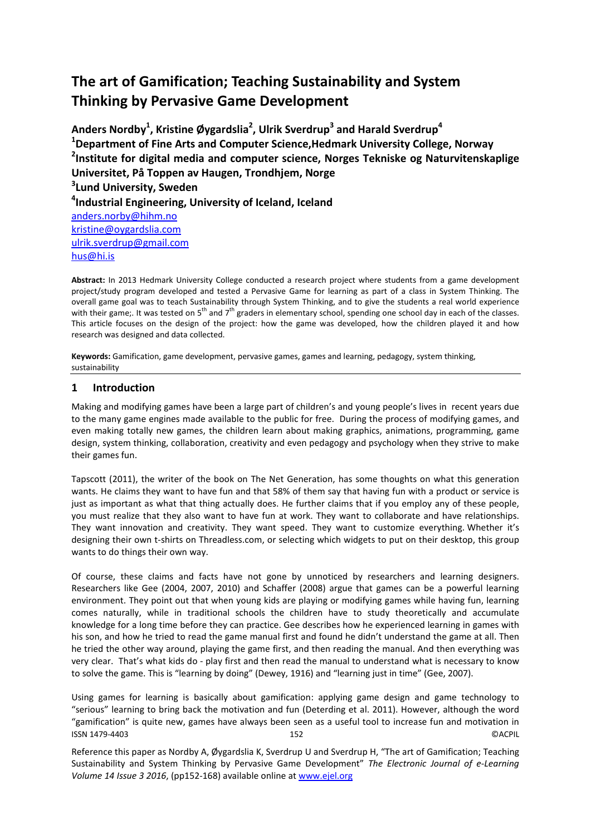# **The art of Gamification; Teaching Sustainability and System Thinking by Pervasive Game Development**

**Anders Nordby<sup>1</sup> , Kristine Øygardslia<sup>2</sup> , Ulrik Sverdrup<sup>3</sup> and Harald Sverdrup<sup>4</sup> <sup>1</sup>Department of Fine Arts and Computer Science,Hedmark University College, Norway 2 Institute for digital media and computer science, Norges Tekniske og Naturvitenskaplige Universitet, På Toppen av Haugen, Trondhjem, Norge 3 Lund University, Sweden 4 Industrial Engineering, University of Iceland, Iceland** [anders.norby@hihm.no](mailto:anders.norby@hihm.no) [kristine@oygardslia.com](mailto:kristine@oygardslia.com) [ulrik.sverdrup@gmail.com](mailto:ulrik.sverdrup@gmail.com) [hus@hi.is](mailto:hus@hi.is)

**Abstract:** In 2013 Hedmark University College conducted a research project where students from a game development project/study program developed and tested a Pervasive Game for learning as part of a class in System Thinking. The overall game goal was to teach Sustainability through System Thinking, and to give the students a real world experience with their game;. It was tested on  $5<sup>th</sup>$  and  $7<sup>th</sup>$  graders in elementary school, spending one school day in each of the classes. This article focuses on the design of the project: how the game was developed, how the children played it and how research was designed and data collected.

**Keywords:** Gamification, game development, pervasive games, games and learning, pedagogy, system thinking, sustainability

# **1 Introduction**

Making and modifying games have been a large part of children's and young people's lives in recent years due to the many game engines made available to the public for free. During the process of modifying games, and even making totally new games, the children learn about making graphics, animations, programming, game design, system thinking, collaboration, creativity and even pedagogy and psychology when they strive to make their games fun.

Tapscott (2011), the writer of the book on The Net Generation, has some thoughts on what this generation wants. He claims they want to have fun and that 58% of them say that having fun with a product or service is just as important as what that thing actually does. He further claims that if you employ any of these people, you must realize that they also want to have fun at work. They want to collaborate and have relationships. They want innovation and creativity. They want speed. They want to customize everything. Whether it's designing their own t-shirts on Threadless.com, or selecting which widgets to put on their desktop, this group wants to do things their own way.

Of course, these claims and facts have not gone by unnoticed by researchers and learning designers. Researchers like Gee (2004, 2007, 2010) and Schaffer (2008) argue that games can be a powerful learning environment. They point out that when young kids are playing or modifying games while having fun, learning comes naturally, while in traditional schools the children have to study theoretically and accumulate knowledge for a long time before they can practice. Gee describes how he experienced learning in games with his son, and how he tried to read the game manual first and found he didn't understand the game at all. Then he tried the other way around, playing the game first, and then reading the manual. And then everything was very clear. That's what kids do - play first and then read the manual to understand what is necessary to know to solve the game. This is "learning by doing" (Dewey, 1916) and "learning just in time" (Gee, 2007).

Using games for learning is basically about gamification: applying game design and game technology to "serious" learning to bring back the motivation and fun (Deterding et al. 2011). However, although the word "gamification" is quite new, games have always been seen as a useful tool to increase fun and motivation in ISSN 1479-4403 152 ©ACPIL

Reference this paper as Nordby A, Øygardslia K, Sverdrup U and Sverdrup H, "The art of Gamification; Teaching Sustainability and System Thinking by Pervasive Game Development" *The Electronic Journal of e-Learning Volume 14 Issue 3 2016*, (pp152-168) available online at www.ejel.org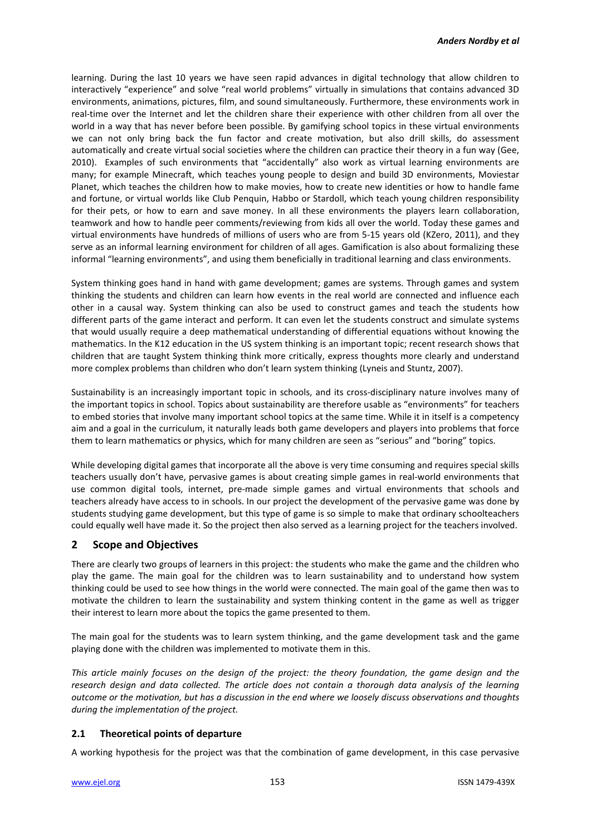learning. During the last 10 years we have seen rapid advances in digital technology that allow children to interactively "experience" and solve "real world problems" virtually in simulations that contains advanced 3D environments, animations, pictures, film, and sound simultaneously. Furthermore, these environments work in real-time over the Internet and let the children share their experience with other children from all over the world in a way that has never before been possible. By gamifying school topics in these virtual environments we can not only bring back the fun factor and create motivation, but also drill skills, do assessment automatically and create virtual social societies where the children can practice their theory in a fun way (Gee, 2010). Examples of such environments that "accidentally" also work as virtual learning environments are many; for example Minecraft, which teaches young people to design and build 3D environments, Moviestar Planet, which teaches the children how to make movies, how to create new identities or how to handle fame and fortune, or virtual worlds like Club Penquin, Habbo or Stardoll, which teach young children responsibility for their pets, or how to earn and save money. In all these environments the players learn collaboration, teamwork and how to handle peer comments/reviewing from kids all over the world. Today these games and virtual environments have hundreds of millions of users who are from 5-15 years old (KZero, 2011), and they serve as an informal learning environment for children of all ages. Gamification is also about formalizing these informal "learning environments", and using them beneficially in traditional learning and class environments.

System thinking goes hand in hand with game development; games are systems. Through games and system thinking the students and children can learn how events in the real world are connected and influence each other in a causal way. System thinking can also be used to construct games and teach the students how different parts of the game interact and perform. It can even let the students construct and simulate systems that would usually require a deep mathematical understanding of differential equations without knowing the mathematics. In the K12 education in the US system thinking is an important topic; recent research shows that children that are taught System thinking think more critically, express thoughts more clearly and understand more complex problems than children who don't learn system thinking (Lyneis and Stuntz, 2007).

Sustainability is an increasingly important topic in schools, and its cross-disciplinary nature involves many of the important topics in school. Topics about sustainability are therefore usable as "environments" for teachers to embed stories that involve many important school topics at the same time. While it in itself is a competency aim and a goal in the curriculum, it naturally leads both game developers and players into problems that force them to learn mathematics or physics, which for many children are seen as "serious" and "boring" topics.

While developing digital games that incorporate all the above is very time consuming and requires special skills teachers usually don't have, pervasive games is about creating simple games in real-world environments that use common digital tools, internet, pre-made simple games and virtual environments that schools and teachers already have access to in schools. In our project the development of the pervasive game was done by students studying game development, but this type of game is so simple to make that ordinary schoolteachers could equally well have made it. So the project then also served as a learning project for the teachers involved.

# **2 Scope and Objectives**

There are clearly two groups of learners in this project: the students who make the game and the children who play the game. The main goal for the children was to learn sustainability and to understand how system thinking could be used to see how things in the world were connected. The main goal of the game then was to motivate the children to learn the sustainability and system thinking content in the game as well as trigger their interest to learn more about the topics the game presented to them.

The main goal for the students was to learn system thinking, and the game development task and the game playing done with the children was implemented to motivate them in this.

*This article mainly focuses on the design of the project: the theory foundation, the game design and the research design and data collected. The article does not contain a thorough data analysis of the learning outcome or the motivation, but has a discussion in the end where we loosely discuss observations and thoughts during the implementation of the project.*

# **2.1 Theoretical points of departure**

A working hypothesis for the project was that the combination of game development, in this case pervasive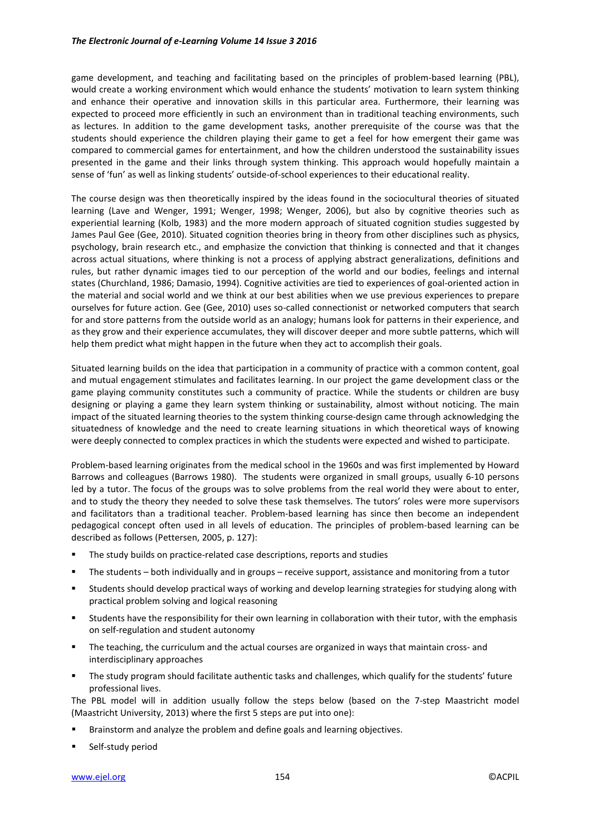game development, and teaching and facilitating based on the principles of problem-based learning (PBL), would create a working environment which would enhance the students' motivation to learn system thinking and enhance their operative and innovation skills in this particular area. Furthermore, their learning was expected to proceed more efficiently in such an environment than in traditional teaching environments, such as lectures. In addition to the game development tasks, another prerequisite of the course was that the students should experience the children playing their game to get a feel for how emergent their game was compared to commercial games for entertainment, and how the children understood the sustainability issues presented in the game and their links through system thinking. This approach would hopefully maintain a sense of 'fun' as well as linking students' outside-of-school experiences to their educational reality.

The course design was then theoretically inspired by the ideas found in the sociocultural theories of situated learning (Lave and Wenger, 1991; Wenger, 1998; Wenger, 2006), but also by cognitive theories such as experiential learning (Kolb, 1983) and the more modern approach of situated cognition studies suggested by James Paul Gee (Gee, 2010). Situated cognition theories bring in theory from other disciplines such as physics, psychology, brain research etc., and emphasize the conviction that thinking is connected and that it changes across actual situations, where thinking is not a process of applying abstract generalizations, definitions and rules, but rather dynamic images tied to our perception of the world and our bodies, feelings and internal states (Churchland, 1986; Damasio, 1994). Cognitive activities are tied to experiences of goal-oriented action in the material and social world and we think at our best abilities when we use previous experiences to prepare ourselves for future action. Gee (Gee, 2010) uses so-called connectionist or networked computers that search for and store patterns from the outside world as an analogy; humans look for patterns in their experience, and as they grow and their experience accumulates, they will discover deeper and more subtle patterns, which will help them predict what might happen in the future when they act to accomplish their goals.

Situated learning builds on the idea that participation in a community of practice with a common content, goal and mutual engagement stimulates and facilitates learning. In our project the game development class or the game playing community constitutes such a community of practice. While the students or children are busy designing or playing a game they learn system thinking or sustainability, almost without noticing. The main impact of the situated learning theories to the system thinking course-design came through acknowledging the situatedness of knowledge and the need to create learning situations in which theoretical ways of knowing were deeply connected to complex practices in which the students were expected and wished to participate.

Problem-based learning originates from the medical school in the 1960s and was first implemented by Howard Barrows and colleagues (Barrows 1980). The students were organized in small groups, usually 6-10 persons led by a tutor. The focus of the groups was to solve problems from the real world they were about to enter, and to study the theory they needed to solve these task themselves. The tutors' roles were more supervisors and facilitators than a traditional teacher. Problem-based learning has since then become an independent pedagogical concept often used in all levels of education. The principles of problem-based learning can be described as follows (Pettersen, 2005, p. 127):

- The study builds on practice-related case descriptions, reports and studies
- The students both individually and in groups receive support, assistance and monitoring from a tutor
- Students should develop practical ways of working and develop learning strategies for studying along with practical problem solving and logical reasoning
- Students have the responsibility for their own learning in collaboration with their tutor, with the emphasis on self-regulation and student autonomy
- **The teaching, the curriculum and the actual courses are organized in ways that maintain cross- and** interdisciplinary approaches
- The study program should facilitate authentic tasks and challenges, which qualify for the students' future professional lives.

The PBL model will in addition usually follow the steps below (based on the 7-step Maastricht model (Maastricht University, 2013) where the first 5 steps are put into one):

- Brainstorm and analyze the problem and define goals and learning objectives.
- Self-study period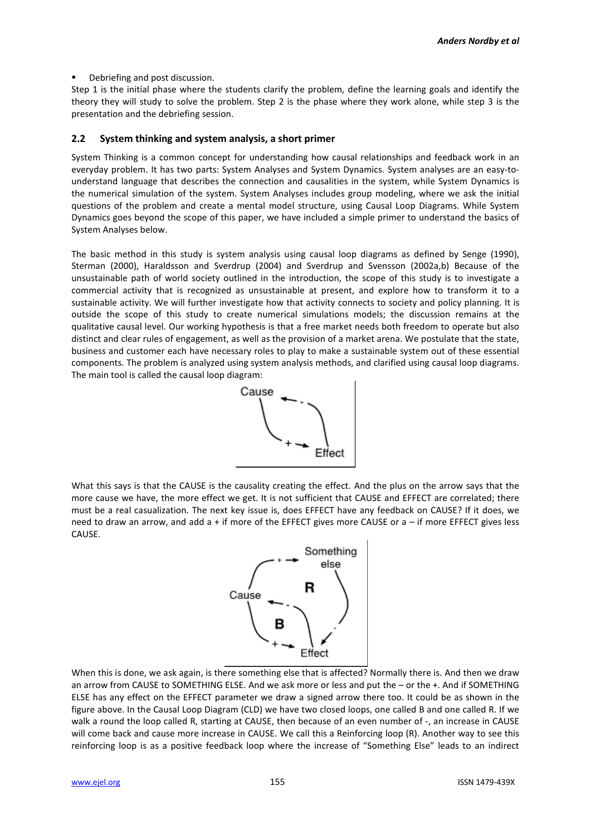Debriefing and post discussion.

Step 1 is the initial phase where the students clarify the problem, define the learning goals and identify the theory they will study to solve the problem. Step 2 is the phase where they work alone, while step 3 is the presentation and the debriefing session.

#### **2.2 System thinking and system analysis, a short primer**

System Thinking is a common concept for understanding how causal relationships and feedback work in an everyday problem. It has two parts: System Analyses and System Dynamics. System analyses are an easy-tounderstand language that describes the connection and causalities in the system, while System Dynamics is the numerical simulation of the system. System Analyses includes group modeling, where we ask the initial questions of the problem and create a mental model structure, using Causal Loop Diagrams. While System Dynamics goes beyond the scope of this paper, we have included a simple primer to understand the basics of System Analyses below.

The basic method in this study is system analysis using causal loop diagrams as defined by Senge (1990), Sterman (2000), Haraldsson and Sverdrup (2004) and Sverdrup and Svensson (2002a,b) Because of the unsustainable path of world society outlined in the introduction, the scope of this study is to investigate a commercial activity that is recognized as unsustainable at present, and explore how to transform it to a sustainable activity. We will further investigate how that activity connects to society and policy planning. It is outside the scope of this study to create numerical simulations models; the discussion remains at the qualitative causal level. Our working hypothesis is that a free market needs both freedom to operate but also distinct and clear rules of engagement, as well as the provision of a market arena. We postulate that the state, business and customer each have necessary roles to play to make a sustainable system out of these essential components. The problem is analyzed using system analysis methods, and clarified using causal loop diagrams. The main tool is called the causal loop diagram:



What this says is that the CAUSE is the causality creating the effect. And the plus on the arrow says that the more cause we have, the more effect we get. It is not sufficient that CAUSE and EFFECT are correlated; there must be a real casualization. The next key issue is, does EFFECT have any feedback on CAUSE? If it does, we need to draw an arrow, and add a + if more of the EFFECT gives more CAUSE or a – if more EFFECT gives less CAUSE.



When this is done, we ask again, is there something else that is affected? Normally there is. And then we draw an arrow from CAUSE to SOMETHING ELSE. And we ask more or less and put the – or the +. And if SOMETHING ELSE has any effect on the EFFECT parameter we draw a signed arrow there too. It could be as shown in the figure above. In the Causal Loop Diagram (CLD) we have two closed loops, one called B and one called R. If we walk a round the loop called R, starting at CAUSE, then because of an even number of -, an increase in CAUSE will come back and cause more increase in CAUSE. We call this a Reinforcing loop (R). Another way to see this reinforcing loop is as a positive feedback loop where the increase of "Something Else" leads to an indirect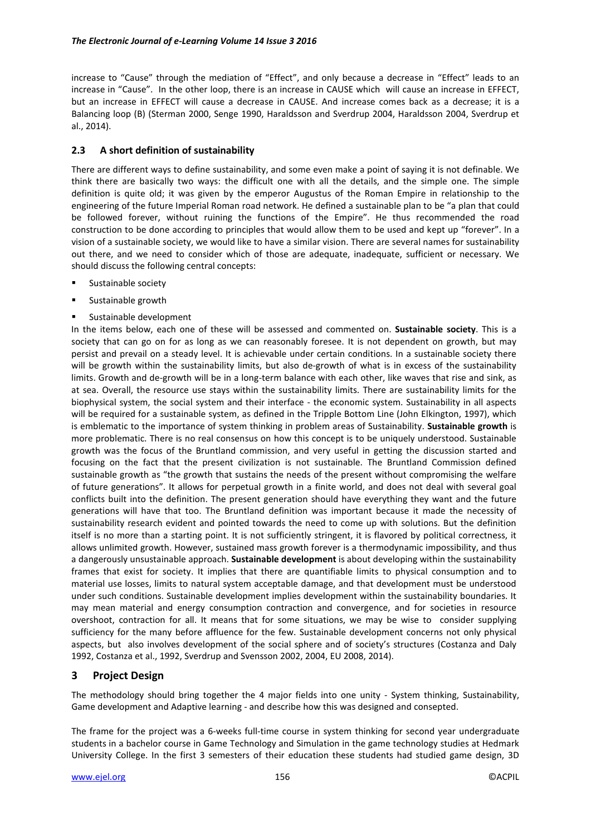increase to "Cause" through the mediation of "Effect", and only because a decrease in "Effect" leads to an increase in "Cause". In the other loop, there is an increase in CAUSE which will cause an increase in EFFECT, but an increase in EFFECT will cause a decrease in CAUSE. And increase comes back as a decrease; it is a Balancing loop (B) (Sterman 2000, Senge 1990, Haraldsson and Sverdrup 2004, Haraldsson 2004, Sverdrup et al., 2014).

### **2.3 A short definition of sustainability**

There are different ways to define sustainability, and some even make a point of saying it is not definable. We think there are basically two ways: the difficult one with all the details, and the simple one. The simple definition is quite old; it was given by the emperor Augustus of the Roman Empire in relationship to the engineering of the future Imperial Roman road network. He defined a sustainable plan to be "a plan that could be followed forever, without ruining the functions of the Empire". He thus recommended the road construction to be done according to principles that would allow them to be used and kept up "forever". In a vision of a sustainable society, we would like to have a similar vision. There are several names for sustainability out there, and we need to consider which of those are adequate, inadequate, sufficient or necessary. We should discuss the following central concepts:

- Sustainable society
- **Sustainable growth**
- Sustainable development

In the items below, each one of these will be assessed and commented on. **Sustainable society**. This is a society that can go on for as long as we can reasonably foresee. It is not dependent on growth, but may persist and prevail on a steady level. It is achievable under certain conditions. In a sustainable society there will be growth within the sustainability limits, but also de-growth of what is in excess of the sustainability limits. Growth and de-growth will be in a long-term balance with each other, like waves that rise and sink, as at sea. Overall, the resource use stays within the sustainability limits. There are sustainability limits for the biophysical system, the social system and their interface - the economic system. Sustainability in all aspects will be required for a sustainable system, as defined in the Tripple Bottom Line (John Elkington, 1997), which is emblematic to the importance of system thinking in problem areas of Sustainability. **Sustainable growth** is more problematic. There is no real consensus on how this concept is to be uniquely understood. Sustainable growth was the focus of the Bruntland commission, and very useful in getting the discussion started and focusing on the fact that the present civilization is not sustainable. The Bruntland Commission defined sustainable growth as "the growth that sustains the needs of the present without compromising the welfare of future generations". It allows for perpetual growth in a finite world, and does not deal with several goal conflicts built into the definition. The present generation should have everything they want and the future generations will have that too. The Bruntland definition was important because it made the necessity of sustainability research evident and pointed towards the need to come up with solutions. But the definition itself is no more than a starting point. It is not sufficiently stringent, it is flavored by political correctness, it allows unlimited growth. However, sustained mass growth forever is a thermodynamic impossibility, and thus a dangerously unsustainable approach. **Sustainable development** is about developing within the sustainability frames that exist for society. It implies that there are quantifiable limits to physical consumption and to material use losses, limits to natural system acceptable damage, and that development must be understood under such conditions. Sustainable development implies development within the sustainability boundaries. It may mean material and energy consumption contraction and convergence, and for societies in resource overshoot, contraction for all. It means that for some situations, we may be wise to consider supplying sufficiency for the many before affluence for the few. Sustainable development concerns not only physical aspects, but also involves development of the social sphere and of society's structures (Costanza and Daly 1992, Costanza et al., 1992, Sverdrup and Svensson 2002, 2004, EU 2008, 2014).

# **3 Project Design**

The methodology should bring together the 4 major fields into one unity - System thinking, Sustainability, Game development and Adaptive learning - and describe how this was designed and consepted.

The frame for the project was a 6-weeks full-time course in system thinking for second year undergraduate students in a bachelor course in Game Technology and Simulation in the game technology studies at Hedmark University College. In the first 3 semesters of their education these students had studied game design, 3D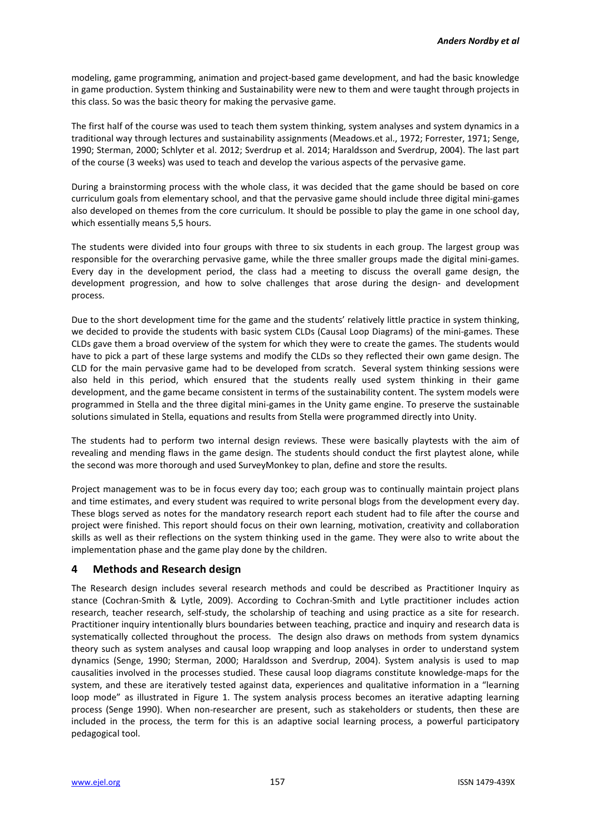modeling, game programming, animation and project-based game development, and had the basic knowledge in game production. System thinking and Sustainability were new to them and were taught through projects in this class. So was the basic theory for making the pervasive game.

The first half of the course was used to teach them system thinking, system analyses and system dynamics in a traditional way through lectures and sustainability assignments (Meadows.et al., 1972; Forrester, 1971; Senge, 1990; Sterman, 2000; Schlyter et al. 2012; Sverdrup et al. 2014; Haraldsson and Sverdrup, 2004). The last part of the course (3 weeks) was used to teach and develop the various aspects of the pervasive game.

During a brainstorming process with the whole class, it was decided that the game should be based on core curriculum goals from elementary school, and that the pervasive game should include three digital mini-games also developed on themes from the core curriculum. It should be possible to play the game in one school day, which essentially means 5,5 hours.

The students were divided into four groups with three to six students in each group. The largest group was responsible for the overarching pervasive game, while the three smaller groups made the digital mini-games. Every day in the development period, the class had a meeting to discuss the overall game design, the development progression, and how to solve challenges that arose during the design- and development process.

Due to the short development time for the game and the students' relatively little practice in system thinking, we decided to provide the students with basic system CLDs (Causal Loop Diagrams) of the mini-games. These CLDs gave them a broad overview of the system for which they were to create the games. The students would have to pick a part of these large systems and modify the CLDs so they reflected their own game design. The CLD for the main pervasive game had to be developed from scratch. Several system thinking sessions were also held in this period, which ensured that the students really used system thinking in their game development, and the game became consistent in terms of the sustainability content. The system models were programmed in Stella and the three digital mini-games in the Unity game engine. To preserve the sustainable solutions simulated in Stella, equations and results from Stella were programmed directly into Unity.

The students had to perform two internal design reviews. These were basically playtests with the aim of revealing and mending flaws in the game design. The students should conduct the first playtest alone, while the second was more thorough and used SurveyMonkey to plan, define and store the results.

Project management was to be in focus every day too; each group was to continually maintain project plans and time estimates, and every student was required to write personal blogs from the development every day. These blogs served as notes for the mandatory research report each student had to file after the course and project were finished. This report should focus on their own learning, motivation, creativity and collaboration skills as well as their reflections on the system thinking used in the game. They were also to write about the implementation phase and the game play done by the children.

### **4 Methods and Research design**

The Research design includes several research methods and could be described as Practitioner Inquiry as stance (Cochran-Smith & Lytle, 2009). According to Cochran-Smith and Lytle practitioner includes action research, teacher research, self-study, the scholarship of teaching and using practice as a site for research. Practitioner inquiry intentionally blurs boundaries between teaching, practice and inquiry and research data is systematically collected throughout the process. The design also draws on methods from system dynamics theory such as system analyses and causal loop wrapping and loop analyses in order to understand system dynamics (Senge, 1990; Sterman, 2000; Haraldsson and Sverdrup, 2004). System analysis is used to map causalities involved in the processes studied. These causal loop diagrams constitute knowledge-maps for the system, and these are iteratively tested against data, experiences and qualitative information in a "learning loop mode" as illustrated in Figure 1. The system analysis process becomes an iterative adapting learning process (Senge 1990). When non-researcher are present, such as stakeholders or students, then these are included in the process, the term for this is an adaptive social learning process, a powerful participatory pedagogical tool.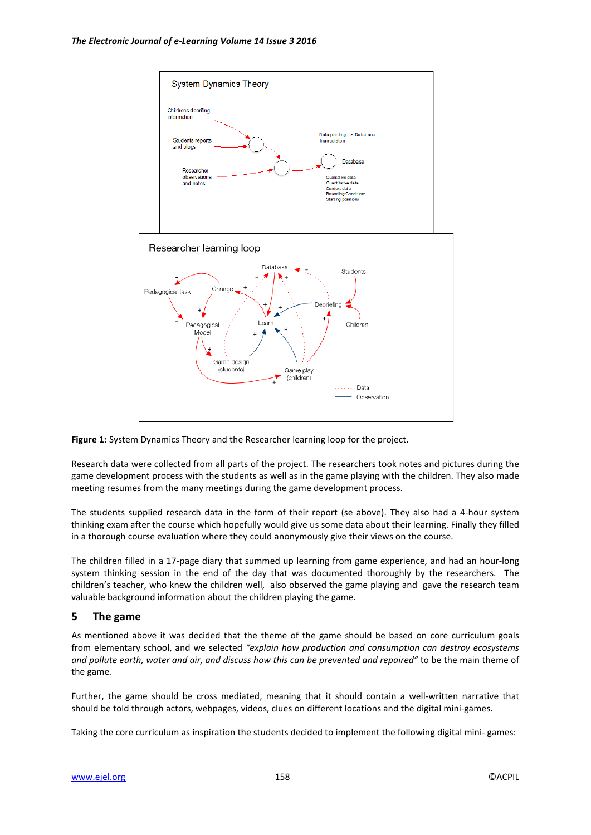



Research data were collected from all parts of the project. The researchers took notes and pictures during the game development process with the students as well as in the game playing with the children. They also made meeting resumes from the many meetings during the game development process.

The students supplied research data in the form of their report (se above). They also had a 4-hour system thinking exam after the course which hopefully would give us some data about their learning. Finally they filled in a thorough course evaluation where they could anonymously give their views on the course.

The children filled in a 17-page diary that summed up learning from game experience, and had an hour-long system thinking session in the end of the day that was documented thoroughly by the researchers. The children's teacher, who knew the children well, also observed the game playing and gave the research team valuable background information about the children playing the game.

### **5 The game**

As mentioned above it was decided that the theme of the game should be based on core curriculum goals from elementary school, and we selected *"explain how production and consumption can destroy ecosystems and pollute earth, water and air, and discuss how this can be prevented and repaired"* to be the main theme of the game*.* 

Further, the game should be cross mediated, meaning that it should contain a well-written narrative that should be told through actors, webpages, videos, clues on different locations and the digital mini-games.

Taking the core curriculum as inspiration the students decided to implement the following digital mini- games: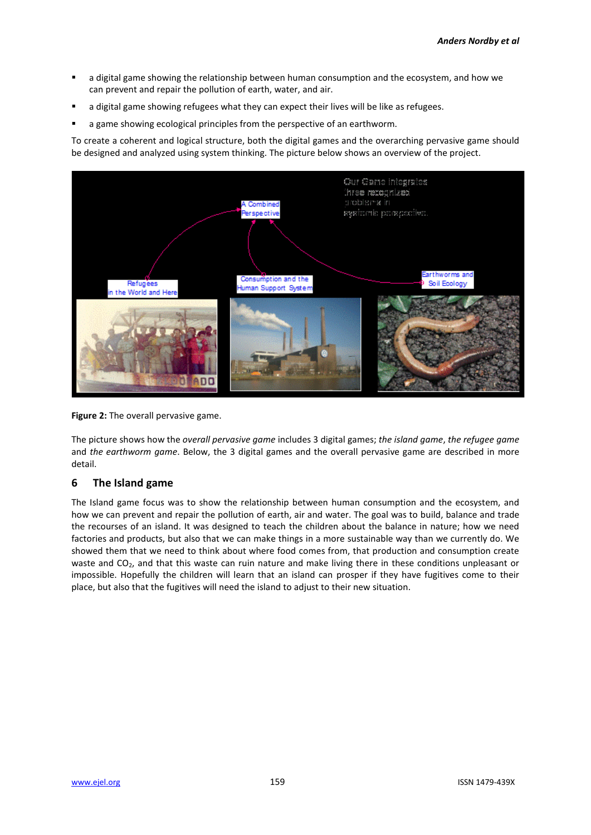- a digital game showing the relationship between human consumption and the ecosystem, and how we can prevent and repair the pollution of earth, water, and air.
- a digital game showing refugees what they can expect their lives will be like as refugees.
- a game showing ecological principles from the perspective of an earthworm.

To create a coherent and logical structure, both the digital games and the overarching pervasive game should be designed and analyzed using system thinking. The picture below shows an overview of the project.



**Figure 2:** The overall pervasive game.

The picture shows how the *overall pervasive game* includes 3 digital games; *the island game*, *the refugee game* and *the earthworm game*. Below, the 3 digital games and the overall pervasive game are described in more detail.

# **6 The Island game**

The Island game focus was to show the relationship between human consumption and the ecosystem, and how we can prevent and repair the pollution of earth, air and water. The goal was to build, balance and trade the recourses of an island. It was designed to teach the children about the balance in nature; how we need factories and products, but also that we can make things in a more sustainable way than we currently do. We showed them that we need to think about where food comes from, that production and consumption create waste and CO<sub>2</sub>, and that this waste can ruin nature and make living there in these conditions unpleasant or impossible. Hopefully the children will learn that an island can prosper if they have fugitives come to their place, but also that the fugitives will need the island to adjust to their new situation.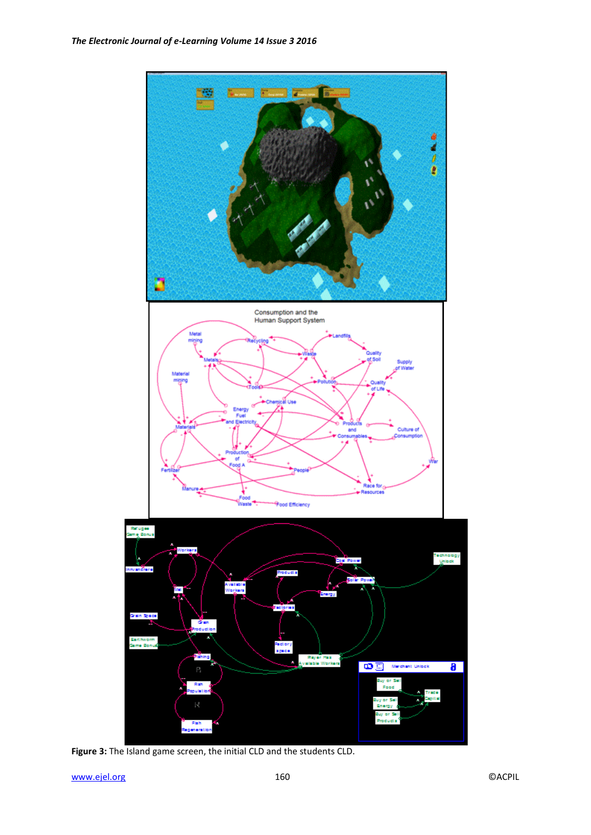

**Figure 3:** The Island game screen, the initial CLD and the students CLD.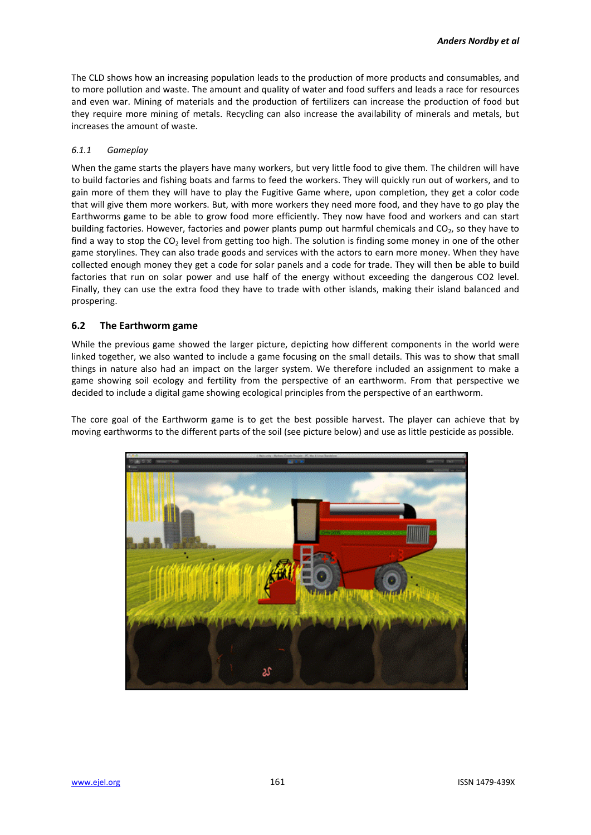The CLD shows how an increasing population leads to the production of more products and consumables, and to more pollution and waste. The amount and quality of water and food suffers and leads a race for resources and even war. Mining of materials and the production of fertilizers can increase the production of food but they require more mining of metals. Recycling can also increase the availability of minerals and metals, but increases the amount of waste.

#### *6.1.1 Gameplay*

When the game starts the players have many workers, but very little food to give them. The children will have to build factories and fishing boats and farms to feed the workers. They will quickly run out of workers, and to gain more of them they will have to play the Fugitive Game where, upon completion, they get a color code that will give them more workers. But, with more workers they need more food, and they have to go play the Earthworms game to be able to grow food more efficiently. They now have food and workers and can start building factories. However, factories and power plants pump out harmful chemicals and  $CO<sub>2</sub>$ , so they have to find a way to stop the  $CO<sub>2</sub>$  level from getting too high. The solution is finding some money in one of the other game storylines. They can also trade goods and services with the actors to earn more money. When they have collected enough money they get a code for solar panels and a code for trade. They will then be able to build factories that run on solar power and use half of the energy without exceeding the dangerous CO2 level. Finally, they can use the extra food they have to trade with other islands, making their island balanced and prospering.

#### **6.2 The Earthworm game**

While the previous game showed the larger picture, depicting how different components in the world were linked together, we also wanted to include a game focusing on the small details. This was to show that small things in nature also had an impact on the larger system. We therefore included an assignment to make a game showing soil ecology and fertility from the perspective of an earthworm. From that perspective we decided to include a digital game showing ecological principles from the perspective of an earthworm.

The core goal of the Earthworm game is to get the best possible harvest. The player can achieve that by moving earthworms to the different parts of the soil (see picture below) and use as little pesticide as possible.

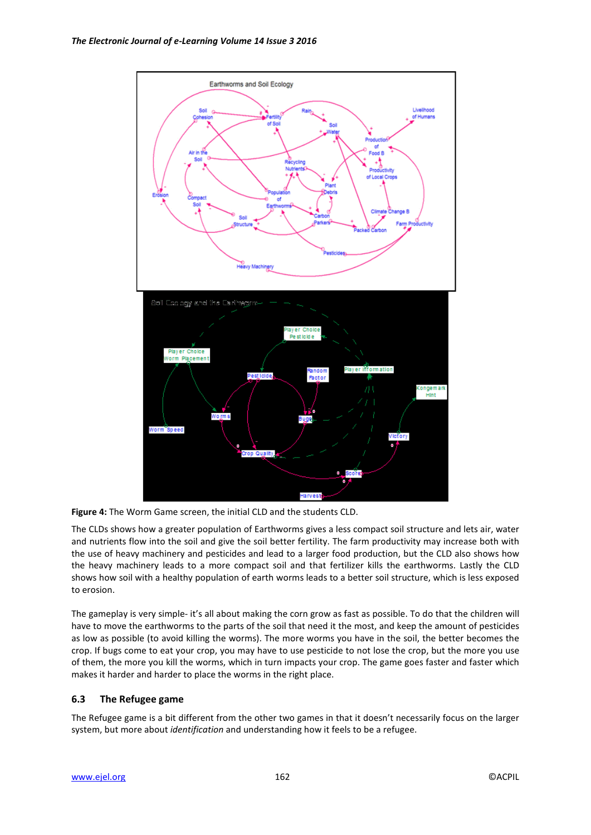

**Figure 4:** The Worm Game screen, the initial CLD and the students CLD.

The CLDs shows how a greater population of Earthworms gives a less compact soil structure and lets air, water and nutrients flow into the soil and give the soil better fertility. The farm productivity may increase both with the use of heavy machinery and pesticides and lead to a larger food production, but the CLD also shows how the heavy machinery leads to a more compact soil and that fertilizer kills the earthworms. Lastly the CLD shows how soil with a healthy population of earth worms leads to a better soil structure, which is less exposed to erosion.

The gameplay is very simple- it's all about making the corn grow as fast as possible. To do that the children will have to move the earthworms to the parts of the soil that need it the most, and keep the amount of pesticides as low as possible (to avoid killing the worms). The more worms you have in the soil, the better becomes the crop. If bugs come to eat your crop, you may have to use pesticide to not lose the crop, but the more you use of them, the more you kill the worms, which in turn impacts your crop. The game goes faster and faster which makes it harder and harder to place the worms in the right place.

### **6.3 The Refugee game**

The Refugee game is a bit different from the other two games in that it doesn't necessarily focus on the larger system, but more about *identification* and understanding how it feels to be a refugee.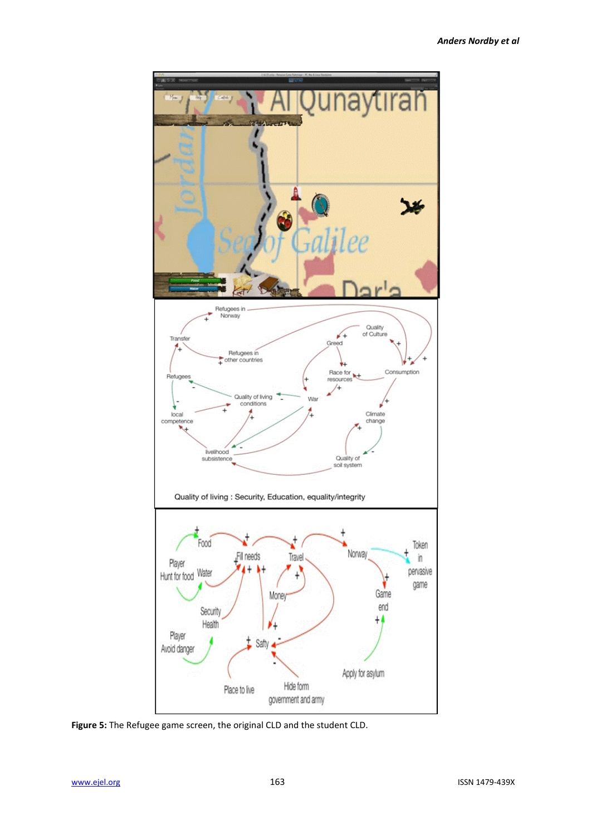

**Figure 5:** The Refugee game screen, the original CLD and the student CLD.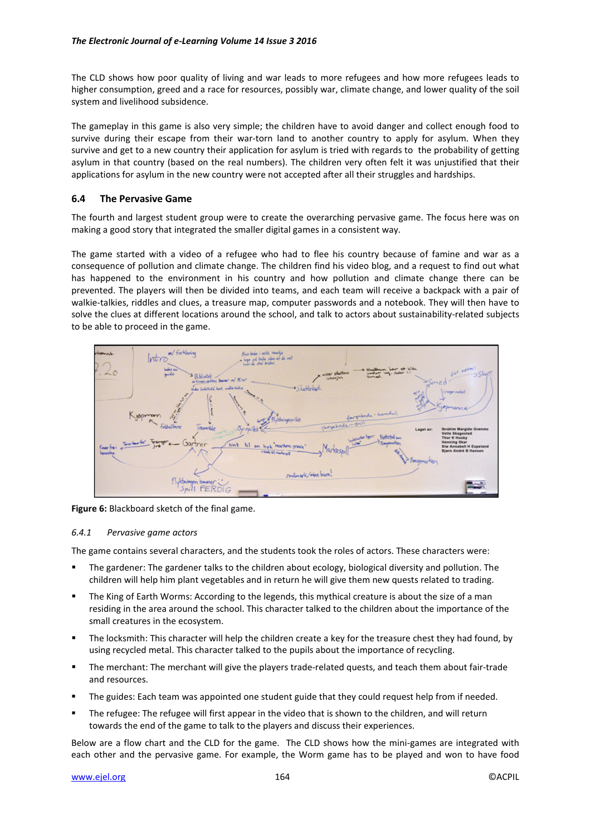The CLD shows how poor quality of living and war leads to more refugees and how more refugees leads to higher consumption, greed and a race for resources, possibly war, climate change, and lower quality of the soil system and livelihood subsidence.

The gameplay in this game is also very simple; the children have to avoid danger and collect enough food to survive during their escape from their war-torn land to another country to apply for asylum. When they survive and get to a new country their application for asylum is tried with regards to the probability of getting asylum in that country (based on the real numbers). The children very often felt it was unjustified that their applications for asylum in the new country were not accepted after all their struggles and hardships.

### **6.4 The Pervasive Game**

The fourth and largest student group were to create the overarching pervasive game. The focus here was on making a good story that integrated the smaller digital games in a consistent way.

The game started with a video of a refugee who had to flee his country because of famine and war as a consequence of pollution and climate change. The children find his video blog, and a request to find out what has happened to the environment in his country and how pollution and climate change there can be prevented. The players will then be divided into teams, and each team will receive a backpack with a pair of walkie-talkies, riddles and clues, a treasure map, computer passwords and a notebook. They will then have to solve the clues at different locations around the school, and talk to actors about sustainability-related subjects to be able to proceed in the game.



**Figure 6:** Blackboard sketch of the final game.

#### *6.4.1 Pervasive game actors*

The game contains several characters, and the students took the roles of actors. These characters were:

- The gardener: The gardener talks to the children about ecology, biological diversity and pollution. The children will help him plant vegetables and in return he will give them new quests related to trading.
- The King of Earth Worms: According to the legends, this mythical creature is about the size of a man residing in the area around the school. This character talked to the children about the importance of the small creatures in the ecosystem.
- The locksmith: This character will help the children create a key for the treasure chest they had found, by using recycled metal. This character talked to the pupils about the importance of recycling.
- The merchant: The merchant will give the players trade-related quests, and teach them about fair-trade and resources.
- The guides: Each team was appointed one student guide that they could request help from if needed.
- The refugee: The refugee will first appear in the video that is shown to the children, and will return towards the end of the game to talk to the players and discuss their experiences.

Below are a flow chart and the CLD for the game. The CLD shows how the mini-games are integrated with each other and the pervasive game. For example, the Worm game has to be played and won to have food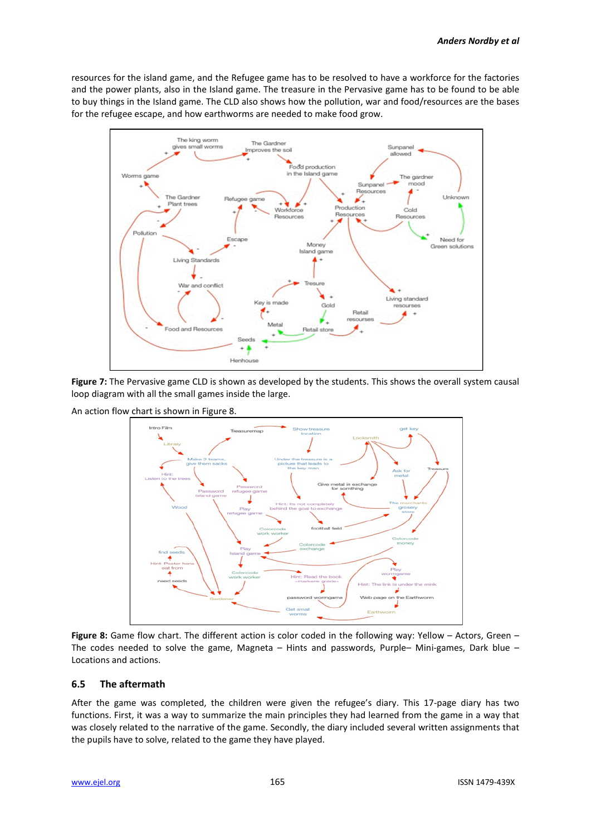resources for the island game, and the Refugee game has to be resolved to have a workforce for the factories and the power plants, also in the Island game. The treasure in the Pervasive game has to be found to be able to buy things in the Island game. The CLD also shows how the pollution, war and food/resources are the bases for the refugee escape, and how earthworms are needed to make food grow.



**Figure 7:** The Pervasive game CLD is shown as developed by the students. This shows the overall system causal loop diagram with all the small games inside the large.

An action flow chart is shown in Figure 8.



**Figure 8:** Game flow chart. The different action is color coded in the following way: Yellow – Actors, Green – The codes needed to solve the game, Magneta – Hints and passwords, Purple– Mini-games, Dark blue – Locations and actions.

#### **6.5 The aftermath**

After the game was completed, the children were given the refugee's diary. This 17-page diary has two functions. First, it was a way to summarize the main principles they had learned from the game in a way that was closely related to the narrative of the game. Secondly, the diary included several written assignments that the pupils have to solve, related to the game they have played.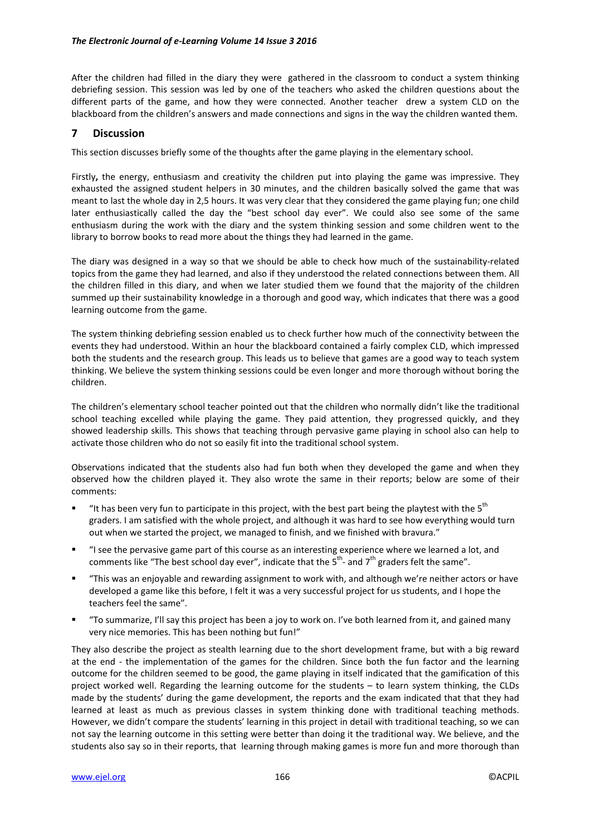After the children had filled in the diary they were gathered in the classroom to conduct a system thinking debriefing session. This session was led by one of the teachers who asked the children questions about the different parts of the game, and how they were connected. Another teacher drew a system CLD on the blackboard from the children's answers and made connections and signs in the way the children wanted them.

## **7 Discussion**

This section discusses briefly some of the thoughts after the game playing in the elementary school.

Firstly**,** the energy, enthusiasm and creativity the children put into playing the game was impressive. They exhausted the assigned student helpers in 30 minutes, and the children basically solved the game that was meant to last the whole day in 2,5 hours. It was very clear that they considered the game playing fun; one child later enthusiastically called the day the "best school day ever". We could also see some of the same enthusiasm during the work with the diary and the system thinking session and some children went to the library to borrow books to read more about the things they had learned in the game.

The diary was designed in a way so that we should be able to check how much of the sustainability-related topics from the game they had learned, and also if they understood the related connections between them. All the children filled in this diary, and when we later studied them we found that the majority of the children summed up their sustainability knowledge in a thorough and good way, which indicates that there was a good learning outcome from the game.

The system thinking debriefing session enabled us to check further how much of the connectivity between the events they had understood. Within an hour the blackboard contained a fairly complex CLD, which impressed both the students and the research group. This leads us to believe that games are a good way to teach system thinking. We believe the system thinking sessions could be even longer and more thorough without boring the children.

The children's elementary school teacher pointed out that the children who normally didn't like the traditional school teaching excelled while playing the game. They paid attention, they progressed quickly, and they showed leadership skills. This shows that teaching through pervasive game playing in school also can help to activate those children who do not so easily fit into the traditional school system.

Observations indicated that the students also had fun both when they developed the game and when they observed how the children played it. They also wrote the same in their reports; below are some of their comments:

- "It has been very fun to participate in this project, with the best part being the playtest with the  $5<sup>th</sup>$ graders. I am satisfied with the whole project, and although it was hard to see how everything would turn out when we started the project, we managed to finish, and we finished with bravura."
- "I see the pervasive game part of this course as an interesting experience where we learned a lot, and comments like "The best school day ever", indicate that the  $5^{\text{th}}$ - and  $7^{\text{th}}$  graders felt the same".
- "This was an enjoyable and rewarding assignment to work with, and although we're neither actors or have developed a game like this before, I felt it was a very successful project for us students, and I hope the teachers feel the same".
- "To summarize, I'll say this project has been a joy to work on. I've both learned from it, and gained many very nice memories. This has been nothing but fun!"

They also describe the project as stealth learning due to the short development frame, but with a big reward at the end - the implementation of the games for the children. Since both the fun factor and the learning outcome for the children seemed to be good, the game playing in itself indicated that the gamification of this project worked well. Regarding the learning outcome for the students – to learn system thinking, the CLDs made by the students' during the game development, the reports and the exam indicated that that they had learned at least as much as previous classes in system thinking done with traditional teaching methods. However, we didn't compare the students' learning in this project in detail with traditional teaching, so we can not say the learning outcome in this setting were better than doing it the traditional way. We believe, and the students also say so in their reports, that learning through making games is more fun and more thorough than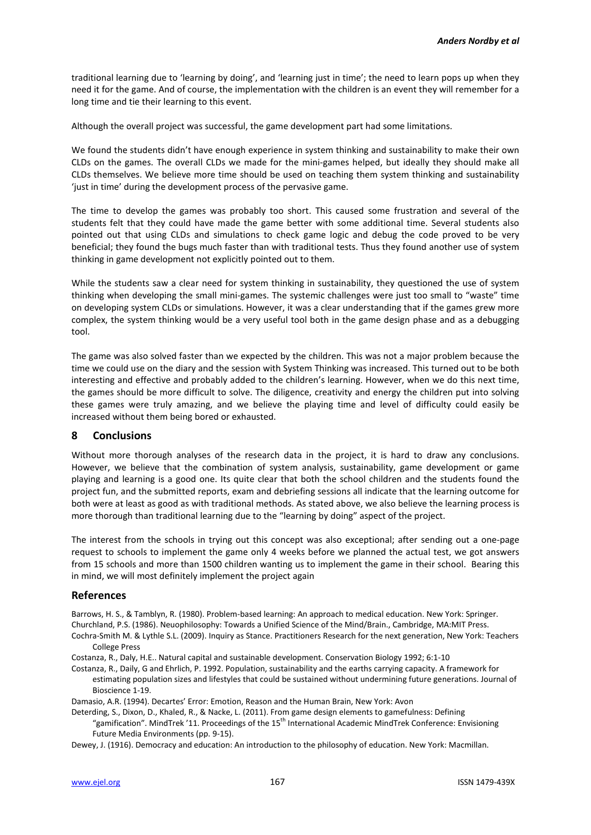traditional learning due to 'learning by doing', and 'learning just in time'; the need to learn pops up when they need it for the game. And of course, the implementation with the children is an event they will remember for a long time and tie their learning to this event.

Although the overall project was successful, the game development part had some limitations.

We found the students didn't have enough experience in system thinking and sustainability to make their own CLDs on the games. The overall CLDs we made for the mini-games helped, but ideally they should make all CLDs themselves. We believe more time should be used on teaching them system thinking and sustainability 'just in time' during the development process of the pervasive game.

The time to develop the games was probably too short. This caused some frustration and several of the students felt that they could have made the game better with some additional time. Several students also pointed out that using CLDs and simulations to check game logic and debug the code proved to be very beneficial; they found the bugs much faster than with traditional tests. Thus they found another use of system thinking in game development not explicitly pointed out to them.

While the students saw a clear need for system thinking in sustainability, they questioned the use of system thinking when developing the small mini-games. The systemic challenges were just too small to "waste" time on developing system CLDs or simulations. However, it was a clear understanding that if the games grew more complex, the system thinking would be a very useful tool both in the game design phase and as a debugging tool.

The game was also solved faster than we expected by the children. This was not a major problem because the time we could use on the diary and the session with System Thinking was increased. This turned out to be both interesting and effective and probably added to the children's learning. However, when we do this next time, the games should be more difficult to solve. The diligence, creativity and energy the children put into solving these games were truly amazing, and we believe the playing time and level of difficulty could easily be increased without them being bored or exhausted.

#### **8 Conclusions**

Without more thorough analyses of the research data in the project, it is hard to draw any conclusions. However, we believe that the combination of system analysis, sustainability, game development or game playing and learning is a good one. Its quite clear that both the school children and the students found the project fun, and the submitted reports, exam and debriefing sessions all indicate that the learning outcome for both were at least as good as with traditional methods. As stated above, we also believe the learning process is more thorough than traditional learning due to the "learning by doing" aspect of the project.

The interest from the schools in trying out this concept was also exceptional; after sending out a one-page request to schools to implement the game only 4 weeks before we planned the actual test, we got answers from 15 schools and more than 1500 children wanting us to implement the game in their school. Bearing this in mind, we will most definitely implement the project again

#### **References**

Barrows, H. S., & Tamblyn, R. (1980). Problem-based learning: An approach to medical education. New York: Springer. Churchland, P.S. (1986). Neuophilosophy: Towards a Unified Science of the Mind/Brain., Cambridge, MA:MIT Press.

- Cochra-Smith M. & Lythle S.L. (2009). Inquiry as Stance. Practitioners Research for the next generation, New York: Teachers College Press
- Costanza, R., Daly, H.E.. Natural capital and sustainable development. Conservation Biology 1992; 6:1-10
- Costanza, R., Daily, G and Ehrlich, P. 1992. Population, sustainability and the earths carrying capacity. A framework for estimating population sizes and lifestyles that could be sustained without undermining future generations. Journal of Bioscience 1-19.

Damasio, A.R. (1994). Decartes' Error: Emotion, Reason and the Human Brain, New York: Avon

Deterding, S., Dixon, D., Khaled, R., & Nacke, L. (2011). From game design elements to gamefulness: Defining "gamification". MindTrek '11. Proceedings of the 15th International Academic MindTrek Conference: Envisioning Future Media Environments (pp. 9-15).

Dewey, J. (1916). Democracy and education: An introduction to the philosophy of education. New York: Macmillan.